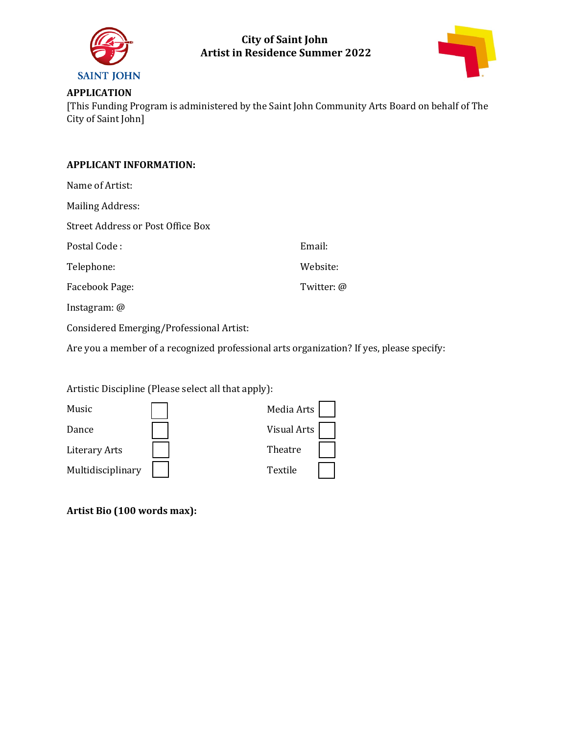

# **City of Saint John Artist in Residence Summer 2022**



### **APPLICATION**

[This Funding Program is administered by the Saint John Community Arts Board on behalf of The City of Saint John]

### **APPLICANT INFORMATION:**

| Name of Artist:                   |            |
|-----------------------------------|------------|
| <b>Mailing Address:</b>           |            |
| Street Address or Post Office Box |            |
| Postal Code:                      | Email:     |
| Telephone:                        | Website:   |
| Facebook Page:                    | Twitter: @ |
| Instagram: @                      |            |
|                                   |            |

Considered Emerging/Professional Artist:

Are you a member of a recognized professional arts organization? If yes, please specify:

Artistic Discipline (Please select all that apply):



**Artist Bio (100 words max):**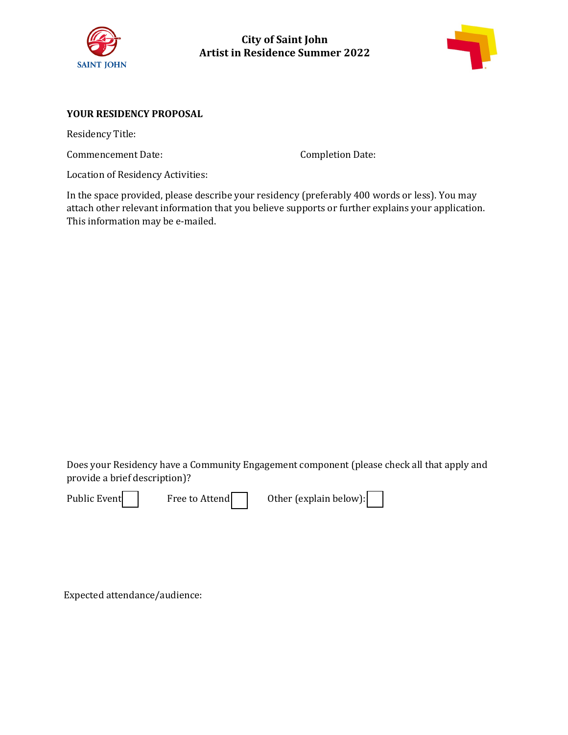

## **City of Saint John Artist in Residence Summer 2022**



#### **YOUR RESIDENCY PROPOSAL**

Residency Title:

Commencement Date: Completion Date:

Location of Residency Activities:

In the space provided, please describe your residency (preferably 400 words or less). You may attach other relevant information that you believe supports or further explains your application. This information may be e-mailed.

Does your Residency have a Community Engagement component (please check all that apply and provide a brief description)?

Public Event Free to Attend Other (explain below):

Expected attendance/audience: